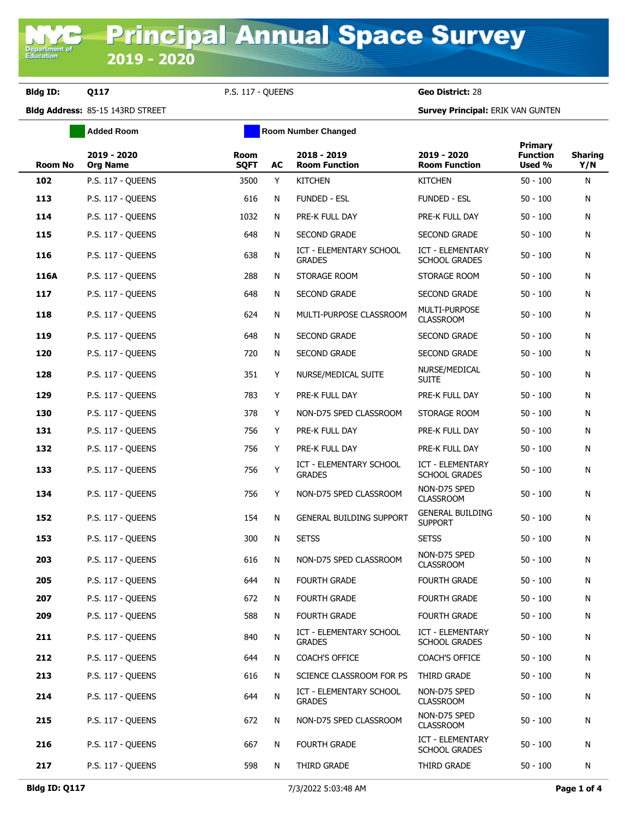Department<br>Education

**Bldg ID: Q117** P.S. 117 - QUEENS **Geo District:** 28

**Bldg Address:** 85-15 143RD STREET **Survey Principal:** ERIK VAN GUNTEN

|                | <b>Added Room</b>              |                     | <b>Room Number Changed</b> |                                                 |                                           |                                      |                       |
|----------------|--------------------------------|---------------------|----------------------------|-------------------------------------------------|-------------------------------------------|--------------------------------------|-----------------------|
| <b>Room No</b> | 2019 - 2020<br><b>Org Name</b> | Room<br><b>SQFT</b> | AC                         | 2018 - 2019<br><b>Room Function</b>             | 2019 - 2020<br><b>Room Function</b>       | Primary<br><b>Function</b><br>Used % | <b>Sharing</b><br>Y/N |
| 102            | P.S. 117 - QUEENS              | 3500                | Y                          | <b>KITCHEN</b>                                  | <b>KITCHEN</b>                            | $50 - 100$                           | N                     |
| 113            | P.S. 117 - OUEENS              | 616                 | N                          | <b>FUNDED - ESL</b>                             | <b>FUNDED - ESL</b>                       | $50 - 100$                           | N                     |
| 114            | P.S. 117 - QUEENS              | 1032                | N                          | PRE-K FULL DAY                                  | PRE-K FULL DAY                            | $50 - 100$                           | N                     |
| 115            | P.S. 117 - QUEENS              | 648                 | N                          | <b>SECOND GRADE</b>                             | <b>SECOND GRADE</b>                       | $50 - 100$                           | N                     |
| 116            | P.S. 117 - QUEENS              | 638                 | ${\sf N}$                  | ICT - ELEMENTARY SCHOOL<br><b>GRADES</b>        | ICT - ELEMENTARY<br><b>SCHOOL GRADES</b>  | $50 - 100$                           | N                     |
| 116A           | P.S. 117 - QUEENS              | 288                 | N                          | STORAGE ROOM                                    | STORAGE ROOM                              | $50 - 100$                           | N                     |
| 117            | P.S. 117 - QUEENS              | 648                 | N                          | <b>SECOND GRADE</b>                             | <b>SECOND GRADE</b>                       | $50 - 100$                           | N                     |
| 118            | P.S. 117 - QUEENS              | 624                 | N                          | MULTI-PURPOSE CLASSROOM                         | MULTI-PURPOSE<br><b>CLASSROOM</b>         | $50 - 100$                           | N                     |
| 119            | P.S. 117 - QUEENS              | 648                 | N                          | <b>SECOND GRADE</b>                             | <b>SECOND GRADE</b>                       | $50 - 100$                           | N                     |
| 120            | P.S. 117 - OUEENS              | 720                 | N                          | <b>SECOND GRADE</b>                             | <b>SECOND GRADE</b>                       | $50 - 100$                           | N                     |
| 128            | P.S. 117 - QUEENS              | 351                 | Y                          | NURSE/MEDICAL SUITE                             | NURSE/MEDICAL<br><b>SUITE</b>             | $50 - 100$                           | N                     |
| 129            | P.S. 117 - QUEENS              | 783                 | Y                          | PRE-K FULL DAY                                  | PRE-K FULL DAY                            | $50 - 100$                           | N                     |
| 130            | P.S. 117 - QUEENS              | 378                 | Y                          | NON-D75 SPED CLASSROOM                          | STORAGE ROOM                              | $50 - 100$                           | N                     |
| 131            | P.S. 117 - QUEENS              | 756                 | Y                          | PRE-K FULL DAY                                  | PRE-K FULL DAY                            | $50 - 100$                           | N                     |
| 132            | P.S. 117 - QUEENS              | 756                 | Y                          | PRE-K FULL DAY                                  | PRE-K FULL DAY                            | $50 - 100$                           | N                     |
| 133            | P.S. 117 - QUEENS              | 756                 | Y                          | ICT - ELEMENTARY SCHOOL<br><b>GRADES</b>        | ICT - ELEMENTARY<br><b>SCHOOL GRADES</b>  | $50 - 100$                           | N                     |
| 134            | P.S. 117 - QUEENS              | 756                 | Y                          | NON-D75 SPED CLASSROOM                          | NON-D75 SPED<br><b>CLASSROOM</b>          | $50 - 100$                           | N                     |
| 152            | P.S. 117 - QUEENS              | 154                 | N                          | <b>GENERAL BUILDING SUPPORT</b>                 | <b>GENERAL BUILDING</b><br><b>SUPPORT</b> | $50 - 100$                           | N                     |
| 153            | P.S. 117 - QUEENS              | 300                 | N                          | <b>SETSS</b>                                    | <b>SETSS</b>                              | $50 - 100$                           | N                     |
| 203            | P.S. 117 - OUEENS              | 616                 | N                          | NON-D75 SPED CLASSROOM                          | NON-D75 SPED<br><b>CLASSROOM</b>          | $50 - 100$                           | N                     |
| 205            | P.S. 117 - QUEENS              | 644                 | N                          | <b>FOURTH GRADE</b>                             | <b>FOURTH GRADE</b>                       | $50 - 100$                           | N                     |
| 207            | P.S. 117 - QUEENS              | 672                 | N                          | <b>FOURTH GRADE</b>                             | <b>FOURTH GRADE</b>                       | $50 - 100$                           | N                     |
| 209            | P.S. 117 - OUEENS              | 588                 | N                          | FOURTH GRADE                                    | <b>FOURTH GRADE</b>                       | $50 - 100$                           | N                     |
| 211            | P.S. 117 - QUEENS              | 840                 | N                          | <b>ICT - ELEMENTARY SCHOOL</b><br><b>GRADES</b> | ICT - ELEMENTARY<br><b>SCHOOL GRADES</b>  | $50 - 100$                           | N                     |
| 212            | P.S. 117 - QUEENS              | 644                 | N                          | COACH'S OFFICE                                  | <b>COACH'S OFFICE</b>                     | $50 - 100$                           | N                     |
| 213            | P.S. 117 - QUEENS              | 616                 | N                          | SCIENCE CLASSROOM FOR PS                        | THIRD GRADE                               | $50 - 100$                           | N                     |
| 214            | P.S. 117 - QUEENS              | 644                 | ${\sf N}$                  | <b>ICT - ELEMENTARY SCHOOL</b><br><b>GRADES</b> | NON-D75 SPED<br><b>CLASSROOM</b>          | $50 - 100$                           | N                     |
| 215            | P.S. 117 - QUEENS              | 672                 | N                          | NON-D75 SPED CLASSROOM                          | NON-D75 SPED<br><b>CLASSROOM</b>          | $50 - 100$                           | N                     |
| 216            | P.S. 117 - QUEENS              | 667                 | N                          | <b>FOURTH GRADE</b>                             | ICT - ELEMENTARY<br><b>SCHOOL GRADES</b>  | $50 - 100$                           | N                     |
| 217            | P.S. 117 - QUEENS              | 598                 | N                          | THIRD GRADE                                     | THIRD GRADE                               | $50 - 100$                           | N                     |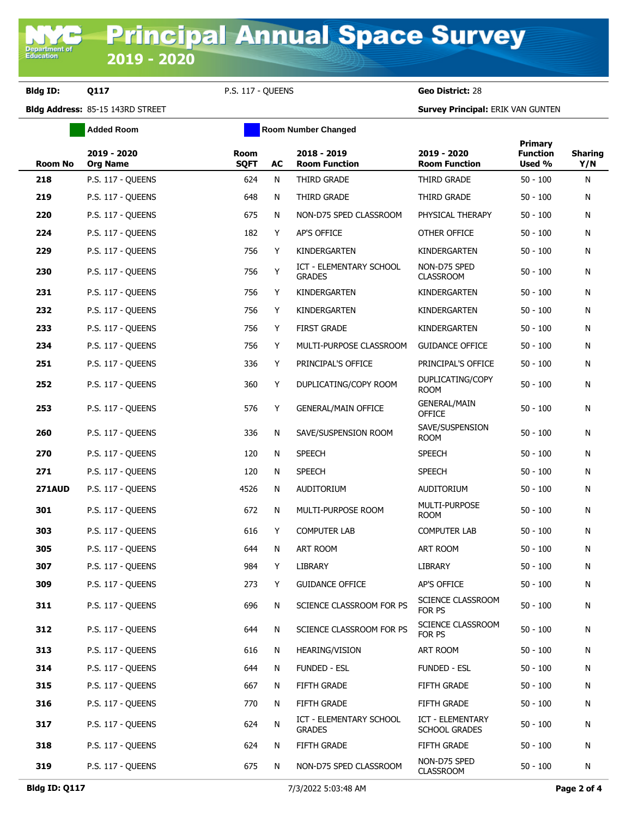**Bldg ID: Q117** P.S. 117 - QUEENS **Geo District:** 28

**Added Room Room Room Number Changed** 

**Bldg Address:** 85-15 143RD STREET **Survey Principal:** ERIK VAN GUNTEN

| Room No       | 2019 - 2020<br><b>Org Name</b> | <b>Room</b><br><b>SQFT</b> | AC | 2018 - 2019<br><b>Room Function</b>             | 2019 - 2020<br><b>Room Function</b>      | <b>Primary</b><br><b>Function</b><br>Used % | <b>Sharing</b><br>Y/N |
|---------------|--------------------------------|----------------------------|----|-------------------------------------------------|------------------------------------------|---------------------------------------------|-----------------------|
| 218           | P.S. 117 - QUEENS              | 624                        | N  | THIRD GRADE                                     | THIRD GRADE                              | $50 - 100$                                  | N                     |
| 219           | P.S. 117 - QUEENS              | 648                        | N  | THIRD GRADE                                     | THIRD GRADE                              | $50 - 100$                                  | N                     |
| 220           | P.S. 117 - QUEENS              | 675                        | N  | NON-D75 SPED CLASSROOM                          | PHYSICAL THERAPY                         | $50 - 100$                                  | N                     |
| 224           | P.S. 117 - QUEENS              | 182                        | Y  | AP'S OFFICE                                     | OTHER OFFICE                             | $50 - 100$                                  | N                     |
| 229           | P.S. 117 - QUEENS              | 756                        | Y  | KINDERGARTEN                                    | KINDERGARTEN                             | $50 - 100$                                  | N                     |
| 230           | P.S. 117 - QUEENS              | 756                        | Υ  | ICT - ELEMENTARY SCHOOL<br><b>GRADES</b>        | NON-D75 SPED<br><b>CLASSROOM</b>         | $50 - 100$                                  | N                     |
| 231           | P.S. 117 - QUEENS              | 756                        | Y  | KINDERGARTEN                                    | KINDERGARTEN                             | $50 - 100$                                  | N                     |
| 232           | P.S. 117 - QUEENS              | 756                        | Y  | KINDERGARTEN                                    | KINDERGARTEN                             | $50 - 100$                                  | N                     |
| 233           | P.S. 117 - QUEENS              | 756                        | Y  | <b>FIRST GRADE</b>                              | KINDERGARTEN                             | $50 - 100$                                  | N                     |
| 234           | P.S. 117 - QUEENS              | 756                        | Y  | MULTI-PURPOSE CLASSROOM                         | <b>GUIDANCE OFFICE</b>                   | $50 - 100$                                  | N                     |
| 251           | P.S. 117 - OUEENS              | 336                        | Y  | PRINCIPAL'S OFFICE                              | PRINCIPAL'S OFFICE                       | $50 - 100$                                  | N                     |
| 252           | P.S. 117 - QUEENS              | 360                        | Y  | DUPLICATING/COPY ROOM                           | DUPLICATING/COPY<br><b>ROOM</b>          | $50 - 100$                                  | N                     |
| 253           | P.S. 117 - QUEENS              | 576                        | Y  | <b>GENERAL/MAIN OFFICE</b>                      | <b>GENERAL/MAIN</b><br><b>OFFICE</b>     | $50 - 100$                                  | N                     |
| 260           | P.S. 117 - OUEENS              | 336                        | N  | SAVE/SUSPENSION ROOM                            | SAVE/SUSPENSION<br>ROOM                  | $50 - 100$                                  | N                     |
| 270           | P.S. 117 - QUEENS              | 120                        | N  | <b>SPEECH</b>                                   | <b>SPEECH</b>                            | $50 - 100$                                  | N                     |
| 271           | P.S. 117 - QUEENS              | 120                        | N  | <b>SPEECH</b>                                   | <b>SPEECH</b>                            | $50 - 100$                                  | N                     |
| <b>271AUD</b> | P.S. 117 - QUEENS              | 4526                       | N  | AUDITORIUM                                      | AUDITORIUM                               | $50 - 100$                                  | N                     |
| 301           | P.S. 117 - QUEENS              | 672                        | N  | MULTI-PURPOSE ROOM                              | MULTI-PURPOSE<br><b>ROOM</b>             | $50 - 100$                                  | N                     |
| 303           | P.S. 117 - QUEENS              | 616                        | Y  | <b>COMPUTER LAB</b>                             | <b>COMPUTER LAB</b>                      | $50 - 100$                                  | N                     |
| 305           | P.S. 117 - OUEENS              | 644                        | N  | ART ROOM                                        | ART ROOM                                 | $50 - 100$                                  | N                     |
| 307           | P.S. 117 - QUEENS              | 984                        | Y  | LIBRARY                                         | LIBRARY                                  | $50 - 100$                                  | N                     |
| 309           | P.S. 117 - QUEENS              | 273                        | Y  | <b>GUIDANCE OFFICE</b>                          | AP'S OFFICE                              | $50 - 100$                                  | N                     |
| 311           | P.S. 117 - QUEENS              | 696                        | N  | SCIENCE CLASSROOM FOR PS                        | SCIENCE CLASSROOM<br>FOR PS              | $50 - 100$                                  | N                     |
| 312           | P.S. 117 - QUEENS              | 644                        | N  | SCIENCE CLASSROOM FOR PS                        | SCIENCE CLASSROOM<br>FOR PS              | $50 - 100$                                  | N                     |
| 313           | P.S. 117 - QUEENS              | 616                        | N  | <b>HEARING/VISION</b>                           | ART ROOM                                 | $50 - 100$                                  | N                     |
| 314           | P.S. 117 - QUEENS              | 644                        | N  | <b>FUNDED - ESL</b>                             | FUNDED - ESL                             | $50 - 100$                                  | N                     |
| 315           | P.S. 117 - QUEENS              | 667                        | N  | FIFTH GRADE                                     | FIFTH GRADE                              | $50 - 100$                                  | N                     |
| 316           | P.S. 117 - QUEENS              | 770                        | N  | FIFTH GRADE                                     | FIFTH GRADE                              | $50 - 100$                                  | N                     |
| 317           | P.S. 117 - QUEENS              | 624                        | N  | <b>ICT - ELEMENTARY SCHOOL</b><br><b>GRADES</b> | ICT - ELEMENTARY<br><b>SCHOOL GRADES</b> | $50 - 100$                                  | N                     |
| 318           | P.S. 117 - QUEENS              | 624                        | N  | FIFTH GRADE                                     | FIFTH GRADE                              | $50 - 100$                                  | N                     |
| 319           | P.S. 117 - QUEENS              | 675                        | N  | NON-D75 SPED CLASSROOM                          | NON-D75 SPED<br><b>CLASSROOM</b>         | $50 - 100$                                  | N                     |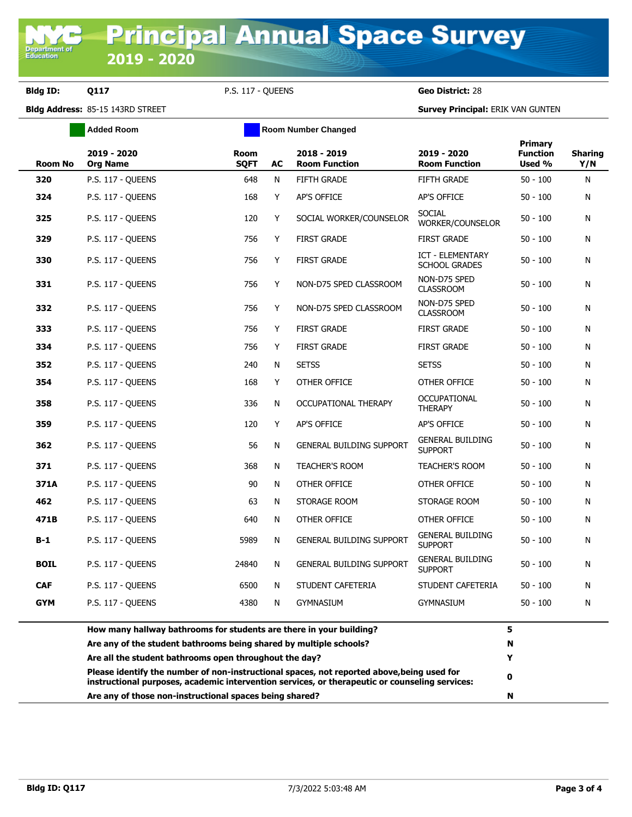**Bldg ID: Q117** P.S. 117 - QUEENS **Geo District:** 28

**Bldg Address:** 85-15 143RD STREET **Survey Principal:** ERIK VAN GUNTEN

|                | <b>Added Room</b>                                                                                                                                                                                 | Room Number Changed        |    |                                     |                                           |                                      |                       |
|----------------|---------------------------------------------------------------------------------------------------------------------------------------------------------------------------------------------------|----------------------------|----|-------------------------------------|-------------------------------------------|--------------------------------------|-----------------------|
| <b>Room No</b> | 2019 - 2020<br><b>Org Name</b>                                                                                                                                                                    | <b>Room</b><br><b>SQFT</b> | AC | 2018 - 2019<br><b>Room Function</b> | 2019 - 2020<br><b>Room Function</b>       | Primary<br><b>Function</b><br>Used % | <b>Sharing</b><br>Y/N |
| 320            | P.S. 117 - QUEENS                                                                                                                                                                                 | 648                        | N  | <b>FIFTH GRADE</b>                  | <b>FIFTH GRADE</b>                        | $50 - 100$                           | N                     |
| 324            | P.S. 117 - QUEENS                                                                                                                                                                                 | 168                        | Y  | AP'S OFFICE                         | AP'S OFFICE                               | $50 - 100$                           | N                     |
| 325            | P.S. 117 - QUEENS                                                                                                                                                                                 | 120                        | Y  | SOCIAL WORKER/COUNSELOR             | SOCIAL<br>WORKER/COUNSELOR                | $50 - 100$                           | N                     |
| 329            | P.S. 117 - QUEENS                                                                                                                                                                                 | 756                        | Y  | <b>FIRST GRADE</b>                  | <b>FIRST GRADE</b>                        | $50 - 100$                           | N                     |
| 330            | P.S. 117 - QUEENS                                                                                                                                                                                 | 756                        | Y  | <b>FIRST GRADE</b>                  | ICT - ELEMENTARY<br><b>SCHOOL GRADES</b>  | $50 - 100$                           | N                     |
| 331            | P.S. 117 - QUEENS                                                                                                                                                                                 | 756                        | Y  | NON-D75 SPED CLASSROOM              | NON-D75 SPED<br><b>CLASSROOM</b>          | $50 - 100$                           | N                     |
| 332            | P.S. 117 - QUEENS                                                                                                                                                                                 | 756                        | Y  | NON-D75 SPED CLASSROOM              | NON-D75 SPED<br><b>CLASSROOM</b>          | $50 - 100$                           | N                     |
| 333            | P.S. 117 - OUEENS                                                                                                                                                                                 | 756                        | Y  | <b>FIRST GRADE</b>                  | <b>FIRST GRADE</b>                        | $50 - 100$                           | N                     |
| 334            | P.S. 117 - QUEENS                                                                                                                                                                                 | 756                        | Y  | <b>FIRST GRADE</b>                  | <b>FIRST GRADE</b>                        | $50 - 100$                           | N                     |
| 352            | P.S. 117 - QUEENS                                                                                                                                                                                 | 240                        | N  | <b>SETSS</b>                        | <b>SETSS</b>                              | $50 - 100$                           | N                     |
| 354            | P.S. 117 - OUEENS                                                                                                                                                                                 | 168                        | Y  | OTHER OFFICE                        | OTHER OFFICE                              | $50 - 100$                           | N                     |
| 358            | P.S. 117 - OUEENS                                                                                                                                                                                 | 336                        | N  | OCCUPATIONAL THERAPY                | <b>OCCUPATIONAL</b><br><b>THERAPY</b>     | $50 - 100$                           | N                     |
| 359            | P.S. 117 - QUEENS                                                                                                                                                                                 | 120                        | Y  | AP'S OFFICE                         | AP'S OFFICE                               | $50 - 100$                           | N                     |
| 362            | P.S. 117 - QUEENS                                                                                                                                                                                 | 56                         | N  | <b>GENERAL BUILDING SUPPORT</b>     | <b>GENERAL BUILDING</b><br><b>SUPPORT</b> | $50 - 100$                           | N                     |
| 371            | P.S. 117 - QUEENS                                                                                                                                                                                 | 368                        | N  | TEACHER'S ROOM                      | <b>TEACHER'S ROOM</b>                     | $50 - 100$                           | N                     |
| 371A           | P.S. 117 - QUEENS                                                                                                                                                                                 | 90                         | N  | OTHER OFFICE                        | OTHER OFFICE                              | $50 - 100$                           | N                     |
| 462            | P.S. 117 - QUEENS                                                                                                                                                                                 | 63                         | N  | STORAGE ROOM                        | STORAGE ROOM                              | $50 - 100$                           | N                     |
| 471B           | P.S. 117 - QUEENS                                                                                                                                                                                 | 640                        | N  | OTHER OFFICE                        | OTHER OFFICE                              | $50 - 100$                           | N                     |
| $B-1$          | P.S. 117 - QUEENS                                                                                                                                                                                 | 5989                       | N  | <b>GENERAL BUILDING SUPPORT</b>     | <b>GENERAL BUILDING</b><br><b>SUPPORT</b> | $50 - 100$                           | N                     |
| <b>BOIL</b>    | P.S. 117 - QUEENS                                                                                                                                                                                 | 24840                      | N  | <b>GENERAL BUILDING SUPPORT</b>     | <b>GENERAL BUILDING</b><br><b>SUPPORT</b> | $50 - 100$                           | N                     |
| <b>CAF</b>     | P.S. 117 - QUEENS                                                                                                                                                                                 | 6500                       | N. | STUDENT CAFETERIA                   | STUDENT CAFETERIA                         | 50 - 100                             | N                     |
| GYM            | P.S. 117 - QUEENS                                                                                                                                                                                 | 4380                       | N  | <b>GYMNASIUM</b>                    | <b>GYMNASIUM</b>                          | $50 - 100$                           | N                     |
|                | How many hallway bathrooms for students are there in your building?                                                                                                                               |                            |    |                                     |                                           | 5                                    |                       |
|                | Are any of the student bathrooms being shared by multiple schools?                                                                                                                                |                            |    |                                     |                                           | N                                    |                       |
|                | Are all the student bathrooms open throughout the day?                                                                                                                                            |                            |    |                                     |                                           | Y                                    |                       |
|                | Please identify the number of non-instructional spaces, not reported above, being used for<br>0<br>instructional purposes, academic intervention services, or therapeutic or counseling services: |                            |    |                                     |                                           |                                      |                       |
|                | Are any of those non-instructional spaces being shared?                                                                                                                                           |                            |    |                                     |                                           | N                                    |                       |